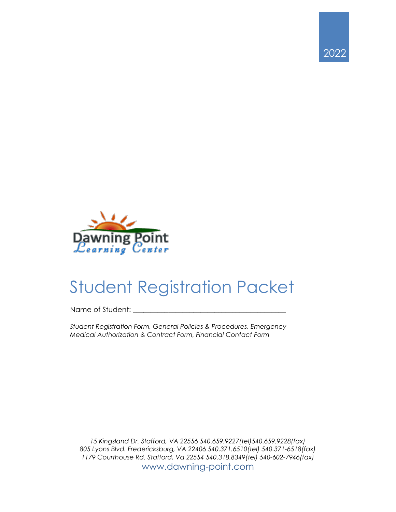



# Student Registration Packet

Name of Student:

*Student Registration Form, General Policies & Procedures, Emergency Medical Authorization & Contract Form, Financial Contact Form*

*15 Kingsland Dr. Stafford, VA 22556 540.659.9227(tel)540.659.9228(fax) 805 Lyons Blvd. Fredericksburg, VA 22406 540.371.6510(tel) 540.371-6518(fax) 1179 Courthouse Rd. Stafford, Va 22554 540.318.8349(tel) 540-602-7946(fax)* www.dawning-point.com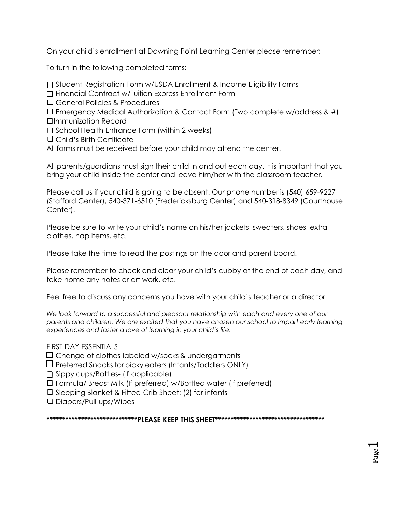On your child's enrollment at Dawning Point Learning Center please remember:

To turn in the following completed forms:

- ❏ Student Registration Form w/USDA Enrollment & Income Eligibility Forms
- ❏ Financial Contract w/Tuition Express Enrollment Form
- ❏ General Policies & Procedures
- ❏ Emergency Medical Authorization & Contact Form (Two complete w/address & #) ❏Immunization Record
- ❏ School Health Entrance Form (within 2 weeks)
- ❏ Child's Birth Certificate
- All forms must be received before your child may attend the center.

All parents/guardians must sign their child In and out each day. It is important that you bring your child inside the center and leave him/her with the classroom teacher.

Please call us if your child is going to be absent. Our phone number is (540) 659-9227 (Stafford Center), 540-371-6510 (Fredericksburg Center) and 540-318-8349 (Courthouse Center).

Please be sure to write your child's name on his/her jackets, sweaters, shoes, extra clothes, nap items, etc.

Please take the time to read the postings on the door and parent board.

Please remember to check and clear your child's cubby at the end of each day, and take home any notes or art work, etc.

Feel free to discuss any concerns you have with your child's teacher or a director.

We look forward to a successful and pleasant relationship with each and every one of our *parents and children. We are excited that you have chosen our school to impart early learning experiences and foster a love of learning in your child's life.* 

## FIRST DAY ESSENTIALS

❏ Change of clothes-labeled w/socks & undergarments

- ❏ Preferred Snacks for picky eaters (Infants/Toddlers ONLY)
- ❏ Sippy cups/Bottles- (If applicable)
- ❏ Formula/ Breast Milk (If preferred) w/Bottled water (If preferred)
- ❏ Sleeping Blanket & Fitted Crib Sheet: (2) for infants
- ❏ Diapers/Pull-ups/Wipes

**\*\*\*\*\*\*\*\*\*\*\*\*\*\*\*\*\*\*\*\*\*\*\*\*\*\*\*\*\*PLEASE KEEP THIS SHEET\*\*\*\*\*\*\*\*\*\*\*\*\*\*\*\*\*\*\*\*\*\*\*\*\*\*\*\*\*\*\*\*\*\*\***

Page  $\overline{\phantom{0}}$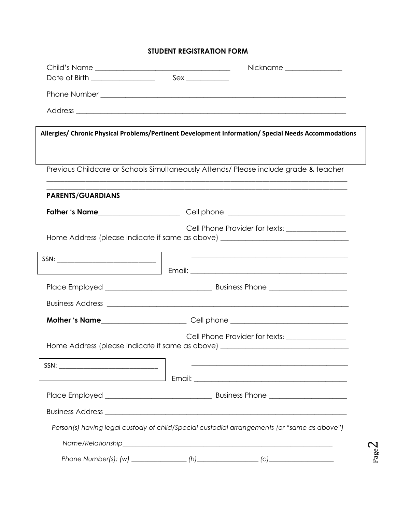## **STUDENT REGISTRATION FORM**

|                          | Nickname _______________                                                                                                            |
|--------------------------|-------------------------------------------------------------------------------------------------------------------------------------|
|                          |                                                                                                                                     |
|                          |                                                                                                                                     |
|                          |                                                                                                                                     |
|                          |                                                                                                                                     |
|                          | Allergies/ Chronic Physical Problems/Pertinent Development Information/ Special Needs Accommodations                                |
|                          |                                                                                                                                     |
|                          | Previous Childcare or Schools Simultaneously Attends/ Please include grade & teacher                                                |
| <b>PARENTS/GUARDIANS</b> |                                                                                                                                     |
|                          | Father 's Name entitled and the Cell phone entitled and the Samuel Cell phone entitled and the Samuel Cell phone                    |
|                          |                                                                                                                                     |
|                          | Cell Phone Provider for texts: ________________<br>Home Address (please indicate if same as above) ________________________________ |
|                          |                                                                                                                                     |
|                          |                                                                                                                                     |
|                          |                                                                                                                                     |
|                          |                                                                                                                                     |
|                          |                                                                                                                                     |
|                          | <b>Mother 's Name</b> _________________________Cell phone _____________________________                                             |
|                          | Cell Phone Provider for texts: ________________<br>Home Address (please indicate if same as above) ________________________________ |
|                          |                                                                                                                                     |
|                          | <u> 2000 - Jan James James James James James James James James James James James James James James James James J</u>                |
|                          |                                                                                                                                     |
|                          |                                                                                                                                     |
|                          |                                                                                                                                     |
|                          | Person(s) having legal custody of child/Special custodial arrangements (or "same as above")                                         |
|                          |                                                                                                                                     |
|                          |                                                                                                                                     |

Page  $\boldsymbol{\sim}$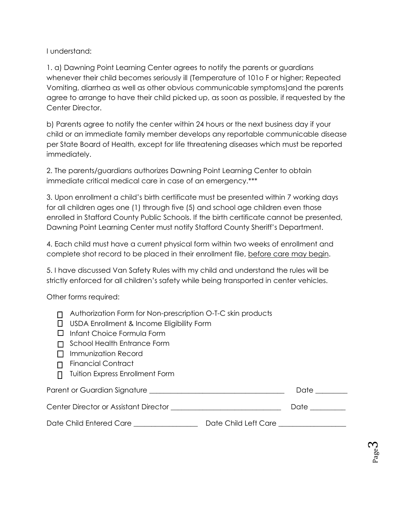I understand:

1. a) Dawning Point Learning Center agrees to notify the parents or guardians whenever their child becomes seriously ill (Temperature of 101o F or higher; Repeated Vomiting, diarrhea as well as other obvious communicable symptoms)and the parents agree to arrange to have their child picked up, as soon as possible, if requested by the Center Director.

b) Parents agree to notify the center within 24 hours or the next business day if your child or an immediate family member develops any reportable communicable disease per State Board of Health, except for life threatening diseases which must be reported immediately.

2. The parents/guardians authorizes Dawning Point Learning Center to obtain immediate critical medical care in case of an emergency.\*\*\*

3. Upon enrollment a child's birth certificate must be presented within 7 working days for all children ages one (1) through five (5) and school age children even those enrolled in Stafford County Public Schools. If the birth certificate cannot be presented, Dawning Point Learning Center must notify Stafford County Sheriff's Department.

4. Each child must have a current physical form within two weeks of enrollment and complete shot record to be placed in their enrollment file, before care may begin.

5. I have discussed Van Safety Rules with my child and understand the rules will be strictly enforced for all children's safety while being transported in center vehicles.

Other forms required:

| $\Box$ Authorization Form for Non-prescription O-T-C skin products |  |  |
|--------------------------------------------------------------------|--|--|
|                                                                    |  |  |

- □ USDA Enrollment & Income Eligibility Form
- Infant Choice Formula Form
- □ School Health Entrance Form
- $\Pi$  Immunization Record
- Financial Contract
- Tuition Express Enrollment Form

Parent or Guardian Signature \_\_\_\_\_\_\_\_\_\_\_\_\_\_\_\_\_\_\_\_\_\_\_\_\_\_\_\_\_\_\_\_\_\_\_\_\_\_ Date \_\_\_\_\_\_\_\_\_

Center Director or Assistant Director \_\_\_\_\_\_\_\_\_\_\_\_\_\_\_\_\_\_\_\_\_\_\_\_\_\_\_\_\_\_\_ Date \_\_\_\_\_\_\_\_\_\_

Date Child Entered Care \_\_\_\_\_\_\_\_\_\_\_\_\_\_\_\_\_\_ Date Child Left Care \_\_\_\_\_\_\_\_\_\_\_\_\_\_\_\_\_\_\_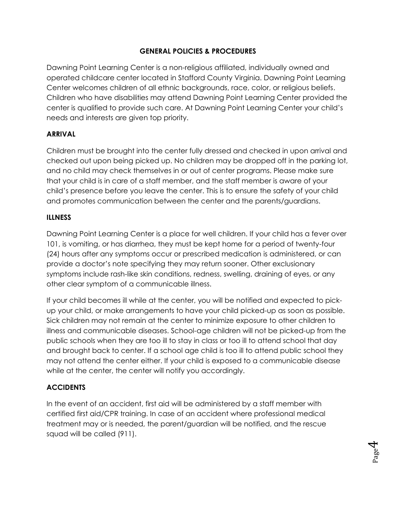## **GENERAL POLICIES & PROCEDURES**

Dawning Point Learning Center is a non-religious affiliated, individually owned and operated childcare center located in Stafford County Virginia. Dawning Point Learning Center welcomes children of all ethnic backgrounds, race, color, or religious beliefs. Children who have disabilities may attend Dawning Point Learning Center provided the center is qualified to provide such care. At Dawning Point Learning Center your child's needs and interests are given top priority.

## **ARRIVAL**

Children must be brought into the center fully dressed and checked in upon arrival and checked out upon being picked up. No children may be dropped off in the parking lot, and no child may check themselves in or out of center programs. Please make sure that your child is in care of a staff member, and the staff member is aware of your child's presence before you leave the center. This is to ensure the safety of your child and promotes communication between the center and the parents/guardians.

## **ILLNESS**

Dawning Point Learning Center is a place for well children. If your child has a fever over 101, is vomiting, or has diarrhea, they must be kept home for a period of twenty-four (24) hours after any symptoms occur or prescribed medication is administered, or can provide a doctor's note specifying they may return sooner. Other exclusionary symptoms include rash-like skin conditions, redness, swelling, draining of eyes, or any other clear symptom of a communicable illness.

If your child becomes ill while at the center, you will be notified and expected to pickup your child, or make arrangements to have your child picked-up as soon as possible. Sick children may not remain at the center to minimize exposure to other children to illness and communicable diseases. School-age children will not be picked-up from the public schools when they are too ill to stay in class or too ill to attend school that day and brought back to center. If a school age child is too ill to attend public school they may not attend the center either. If your child is exposed to a communicable disease while at the center, the center will notify you accordingly.

## **ACCIDENTS**

In the event of an accident, first aid will be administered by a staff member with certified first aid/CPR training. In case of an accident where professional medical treatment may or is needed, the parent/guardian will be notified, and the rescue squad will be called (911).

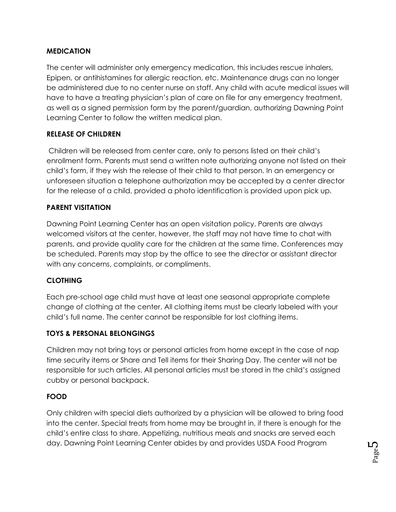## **MEDICATION**

The center will administer only emergency medication, this includes rescue inhalers, Epipen, or antihistamines for allergic reaction, etc. Maintenance drugs can no longer be administered due to no center nurse on staff. Any child with acute medical issues will have to have a treating physician's plan of care on file for any emergency treatment, as well as a signed permission form by the parent/guardian, authorizing Dawning Point Learning Center to follow the written medical plan.

## **RELEASE OF CHILDREN**

Children will be released from center care, only to persons listed on their child's enrollment form. Parents must send a written note authorizing anyone not listed on their child's form, if they wish the release of their child to that person. In an emergency or unforeseen situation a telephone authorization may be accepted by a center director for the release of a child, provided a photo identification is provided upon pick up.

## **PARENT VISITATION**

Dawning Point Learning Center has an open visitation policy. Parents are always welcomed visitors at the center, however, the staff may not have time to chat with parents, and provide quality care for the children at the same time. Conferences may be scheduled. Parents may stop by the office to see the director or assistant director with any concerns, complaints, or compliments.

## **CLOTHING**

Each pre-school age child must have at least one seasonal appropriate complete change of clothing at the center. All clothing items must be clearly labeled with your child's full name. The center cannot be responsible for lost clothing items.

## **TOYS & PERSONAL BELONGINGS**

Children may not bring toys or personal articles from home except in the case of nap time security items or Share and Tell items for their Sharing Day. The center will not be responsible for such articles. All personal articles must be stored in the child's assigned cubby or personal backpack.

## **FOOD**

Only children with special diets authorized by a physician will be allowed to bring food into the center. Special treats from home may be brought in, if there is enough for the child's entire class to share. Appetizing, nutritious meals and snacks are served each day. Dawning Point Learning Center abides by and provides USDA Food Program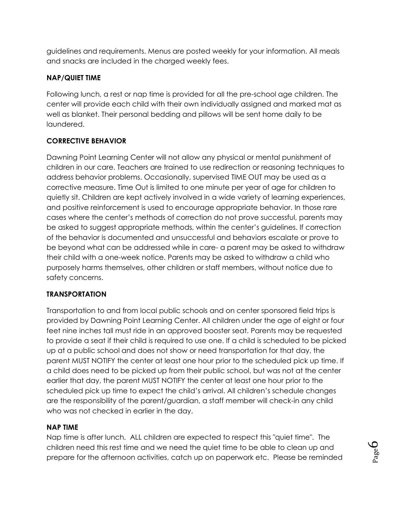guidelines and requirements. Menus are posted weekly for your information. All meals and snacks are included in the charged weekly fees.

## **NAP/QUIET TIME**

Following lunch, a rest or nap time is provided for all the pre-school age children. The center will provide each child with their own individually assigned and marked mat as well as blanket. Their personal bedding and pillows will be sent home daily to be laundered.

## **CORRECTIVE BEHAVIOR**

Dawning Point Learning Center will not allow any physical or mental punishment of children in our care. Teachers are trained to use redirection or reasoning techniques to address behavior problems. Occasionally, supervised TIME OUT may be used as a corrective measure. Time Out is limited to one minute per year of age for children to quietly sit. Children are kept actively involved in a wide variety of learning experiences, and positive reinforcement is used to encourage appropriate behavior. In those rare cases where the center's methods of correction do not prove successful, parents may be asked to suggest appropriate methods, within the center's guidelines. If correction of the behavior is documented and unsuccessful and behaviors escalate or prove to be beyond what can be addressed while in care- a parent may be asked to withdraw their child with a one-week notice. Parents may be asked to withdraw a child who purposely harms themselves, other children or staff members, without notice due to safety concerns.

## **TRANSPORTATION**

Transportation to and from local public schools and on center sponsored field trips is provided by Dawning Point Learning Center. All children under the age of eight or four feet nine inches tall must ride in an approved booster seat. Parents may be requested to provide a seat if their child is required to use one. If a child is scheduled to be picked up at a public school and does not show or need transportation for that day, the parent MUST NOTIFY the center at least one hour prior to the scheduled pick up time. If a child does need to be picked up from their public school, but was not at the center earlier that day, the parent MUST NOTIFY the center at least one hour prior to the scheduled pick up time to expect the child's arrival. All children's schedule changes are the responsibility of the parent/guardian, a staff member will check-in any child who was not checked in earlier in the day.

## **NAP TIME**

Nap time is after lunch. ALL children are expected to respect this "quiet time". The children need this rest time and we need the quiet time to be able to clean up and prepare for the afternoon activities, catch up on paperwork etc. Please be reminded

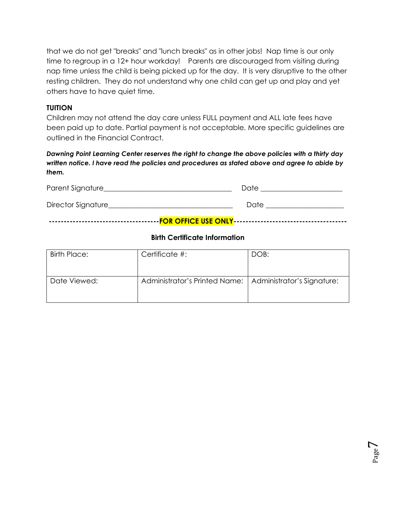that we do not get "breaks" and "lunch breaks" as in other jobs! Nap time is our only time to regroup in a 12+ hour workday! Parents are discouraged from visiting during nap time unless the child is being picked up for the day. It is very disruptive to the other resting children. They do not understand why one child can get up and play and yet others have to have quiet time.

#### **TUITION**

Children may not attend the day care unless FULL payment and ALL late fees have been paid up to date. Partial payment is not acceptable. More specific guidelines are outlined in the Financial Contract.

*Dawning Point Learning Center reserves the right to change the above policies with a thirty day written notice. I have read the policies and procedures as stated above and agree to abide by them.* 

| Parent Signature   | Date |  |  |
|--------------------|------|--|--|
| Director Signature | Date |  |  |
|                    |      |  |  |

#### **Birth Certificate Information**

| Birth Place: | Certificate #:                                             | DOB: |
|--------------|------------------------------------------------------------|------|
| Date Viewed: | Administrator's Printed Name:   Administrator's Signature: |      |

Page  $\overline{\phantom{0}}$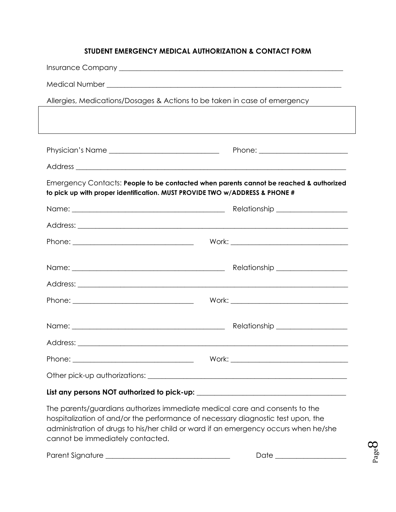## **STUDENT EMERGENCY MEDICAL AUTHORIZATION & CONTACT FORM**

| Allergies, Medications/Dosages & Actions to be taken in case of emergency              |  |  |  |
|----------------------------------------------------------------------------------------|--|--|--|
|                                                                                        |  |  |  |
|                                                                                        |  |  |  |
|                                                                                        |  |  |  |
|                                                                                        |  |  |  |
| Emergency Contacts: People to be contacted when parents cannot be reached & authorized |  |  |  |
| to pick up with proper identification. MUST PROVIDE TWO w/ADDRESS & PHONE #            |  |  |  |
|                                                                                        |  |  |  |
|                                                                                        |  |  |  |
|                                                                                        |  |  |  |
|                                                                                        |  |  |  |
|                                                                                        |  |  |  |
|                                                                                        |  |  |  |
|                                                                                        |  |  |  |
|                                                                                        |  |  |  |
|                                                                                        |  |  |  |
|                                                                                        |  |  |  |
|                                                                                        |  |  |  |
|                                                                                        |  |  |  |
|                                                                                        |  |  |  |

## **List any persons NOT authorized to pick-up: \_\_\_\_\_\_\_\_\_\_\_\_\_\_\_\_\_\_\_\_\_\_\_\_\_\_\_\_\_\_\_\_\_\_\_\_\_\_\_\_\_\_**

The parents/guardians authorizes immediate medical care and consents to the hospitalization of and/or the performance of necessary diagnostic test upon, the administration of drugs to his/her child or ward if an emergency occurs when he/she cannot be immediately contacted.

Parent Signature \_\_\_\_\_\_\_\_\_\_\_\_\_\_\_\_\_\_\_\_\_\_\_\_\_\_\_\_\_\_\_\_\_\_\_ Date \_\_\_\_\_\_\_\_\_\_\_\_\_\_\_\_\_\_\_\_

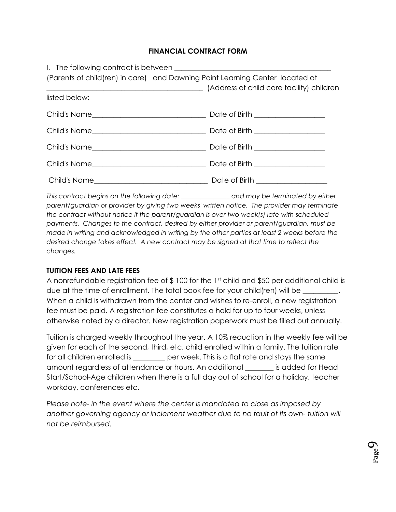#### **FINANCIAL CONTRACT FORM**

|               | (Parents of child(ren) in care) and Dawning Point Learning Center located at             |
|---------------|------------------------------------------------------------------------------------------|
|               | [Address of child care facility] children [10] [Address of child care facility] children |
| listed below: |                                                                                          |
|               |                                                                                          |
|               |                                                                                          |
|               |                                                                                          |
|               |                                                                                          |
|               |                                                                                          |

*This contract begins on the following date: \_\_\_\_\_\_\_\_\_\_\_\_\_\_\_ and may be terminated by either parent/guardian or provider by giving two weeks' written notice. The provider may terminate the contract without notice if the parent/guardian is over two week(s) late with scheduled payments. Changes to the contract, desired by either provider or parent/guardian, must be made in writing and acknowledged in writing by the other parties at least 2 weeks before the desired change takes effect. A new contract may be signed at that time to reflect the changes.*

## **TUITION FEES AND LATE FEES**

A nonrefundable registration fee of \$100 for the 1st child and \$50 per additional child is due at the time of enrollment. The total book fee for your child(ren) will be  $\_$ When a child is withdrawn from the center and wishes to re-enroll, a new registration fee must be paid. A registration fee constitutes a hold for up to four weeks, unless otherwise noted by a director. New registration paperwork must be filled out annually.

Tuition is charged weekly throughout the year. A 10% reduction in the weekly fee will be given for each of the second, third, etc. child enrolled within a family. The tuition rate for all children enrolled is \_\_\_\_\_\_\_\_\_ per week. This is a flat rate and stays the same amount regardless of attendance or hours. An additional \_\_\_\_\_\_\_\_ is added for Head Start/School-Age children when there is a full day out of school for a holiday, teacher workday, conferences etc.

*Please note- in the event where the center is mandated to close as imposed by another governing agency or inclement weather due to no fault of its own- tuition will not be reimbursed.*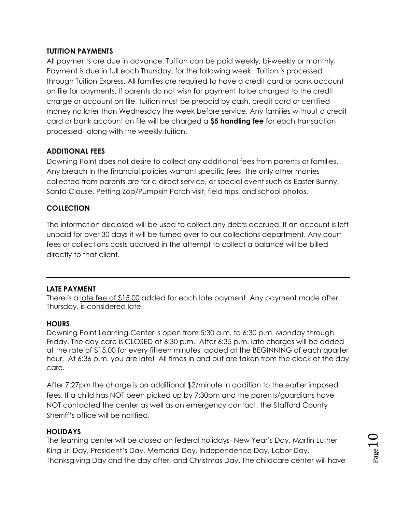## **TUTITION PAYMENTS**

All payments are due in advance. Tuition can be paid weekly, bi-weekly or monthly. Payment is due in full each Thursday, for the following week. Tuition is processed through Tuition Express. All families are required to have a credit card or bank account on file for payments. If parents do not wish for payment to be charged to the credit charge or account on file, tuition must be prepaid by cash, credit card or certified money no later than Wednesday the week before service. Any families without a credit card or bank account on file will be charged a **\$5 handling fee** for each transaction processed- along with the weekly tuition.

## **ADDITIONAL FEES**

Dawning Point does not desire to collect any additional fees from parents or families. Any breach in the financial policies warrant specific fees. The only other monies collected from parents are for a direct service, or special event such as Easter Bunny, Santa Clause, Petting Zoo/Pumpkin Patch visit, field trips, and school photos.

## **COLLECTION**

The information disclosed will be used to collect any debts accrued. If an account is left unpaid for over 30 days it will be turned over to our collections department. Any court fees or collections costs accrued in the attempt to collect a balance will be billed directly to that client.

## **LATE PAYMENT**

There is a late fee of \$15.00 added for each late payment. Any payment made after Thursday, is considered late.

## **HOURS**

Dawning Point Learning Center is open from 5:30 a.m. to 6:30 p.m. Monday through Friday. The day care is CLOSED at 6:30 p.m. After 6:35 p.m. late charges will be added at the rate of \$15.00 for every fifteen minutes, added at the BEGINNING of each quarter hour. At 6:36 p.m. you are late! All times in and out are taken from the clock at the day care.

After 7:27pm the charge is an additional \$2/minute in addition to the earlier imposed fees. If a child has NOT been picked up by 7:30pm and the parents/guardians have NOT contacted the center as well as an emergency contact, the Stafford County Sherriff's office will be notified.

## **HOLIDAYS**

The learning center will be closed on federal holidays- New Year's Day, Martin Luther King Jr. Day, President's Day, Memorial Day, Independence Day, Labor Day, Thanksgiving Day and the day after, and Christmas Day. The childcare center will have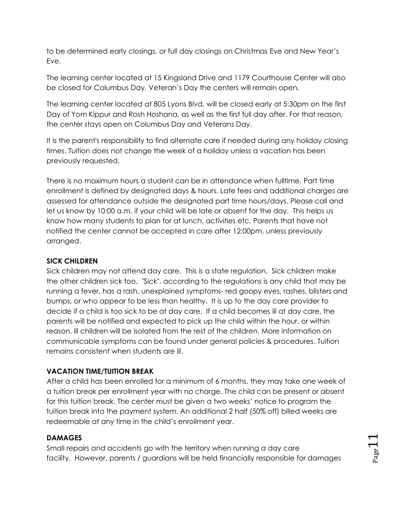to be determined early closings, or full day closings on Christmas Eve and New Year's Eve.

The learning center located at 15 Kingsland Drive and 1179 Courthouse Center will also be closed for Columbus Day. Veteran's Day the centers will remain open.

The learning center located at 805 Lyons Blvd. will be closed early at 5:30pm on the first Day of Yom Kippur and Rosh Hoshana, as well as the first full day after. For that reason, the center stays open on Columbus Day and Veterans Day.

It is the parent's responsibility to find alternate care if needed during any holiday closing times. Tuition does not change the week of a holiday unless a vacation has been previously requested.

There is no maximum hours a student can be in attendance when fulltime. Part time enrollment is defined by designated days & hours. Late fees and additional charges are assessed for attendance outside the designated part time hours/days. Please call and let us know by 10:00 a.m. if your child will be late or absent for the day. This helps us know how many students to plan for at lunch, activities etc. Parents that have not notified the center cannot be accepted in care after 12:00pm, unless previously arranged.

## **SICK CHILDREN**

Sick children may not attend day care. This is a state regulation. Sick children make the other children sick too. "Sick", according to the regulations is any child that may be running a fever, has a rash, unexplained symptoms- red goopy eyes, rashes, blisters and bumps, or who appear to be less than healthy. It is up to the day care provider to decide if a child is too sick to be at day care. If a child becomes ill at day care, the parents will be notified and expected to pick up the child within the hour, or within reason. Ill children will be isolated from the rest of the children. More information on communicable symptoms can be found under general policies & procedures. Tuition remains consistent when students are ill.

## **VACATION TIME/TUITION BREAK**

After a child has been enrolled for a minimum of 6 months, they may take one week of a tuition break per enrollment year with no charge. The child can be present or absent for this tuition break. The center must be given a two weeks' notice to program the tuition break into the payment system. An additional 2 half (50% off) billed weeks are redeemable at any time in the child's enrollment year.

## **DAMAGES**

Small repairs and accidents go with the territory when running a day care facility. However, parents / guardians will be held financially responsible for damages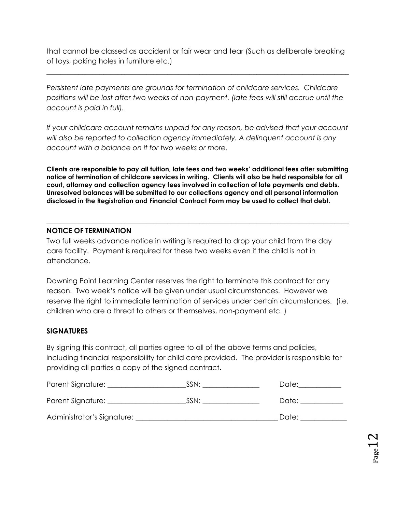that cannot be classed as accident or fair wear and tear (Such as deliberate breaking of toys, poking holes in furniture etc.)

*\_\_\_\_\_\_\_\_\_\_\_\_\_\_\_\_\_\_\_\_\_\_\_\_\_\_\_\_\_\_\_\_\_\_\_\_\_\_\_\_\_\_\_\_\_\_\_\_\_\_\_\_\_\_\_\_\_\_\_\_\_\_\_\_\_\_\_\_\_\_\_\_\_\_\_\_\_\_\_\_\_\_\_\_\_*

*Persistent late payments are grounds for termination of childcare services. Childcare positions will be lost after two weeks of non-payment. (late fees will still accrue until the account is paid in full).*

*If your childcare account remains unpaid for any reason, be advised that your account will also be reported to collection agency immediately. A delinquent account is any account with a balance on it for two weeks or more.*

**Clients are responsible to pay all tuition, late fees and two weeks' additional fees after submitting notice of termination of childcare services in writing. Clients will also be held responsible for all court, attorney and collection agency fees involved in collection of late payments and debts. Unresolved balances will be submitted to our collections agency and all personal information disclosed in the Registration and Financial Contract Form may be used to collect that debt.**

**\_\_\_\_\_\_\_\_\_\_\_\_\_\_\_\_\_\_\_\_\_\_\_\_\_\_\_\_\_\_\_\_\_\_\_\_\_\_\_\_\_\_\_\_\_\_\_\_\_\_\_\_\_\_\_\_\_\_\_\_\_\_\_\_\_\_\_\_\_\_\_\_\_\_\_\_\_\_\_\_\_\_\_\_\_**

## **NOTICE OF TERMINATION**

Two full weeks advance notice in writing is required to drop your child from the day care facility. Payment is required for these two weeks even if the child is not in attendance.

Dawning Point Learning Center reserves the right to terminate this contract for any reason. Two week's notice will be given under usual circumstances. However we reserve the right to immediate termination of services under certain circumstances. (i.e. children who are a threat to others or themselves, non-payment etc..)

## **SIGNATURES**

By signing this contract, all parties agree to all of the above terms and policies, including financial responsibility for child care provided. The provider is responsible for providing all parties a copy of the signed contract.

| Parent Signature:          | SSN: | Date: |
|----------------------------|------|-------|
| Parent Signature: _        | SSN: | Date: |
| Administrator's Signature: |      | Date: |